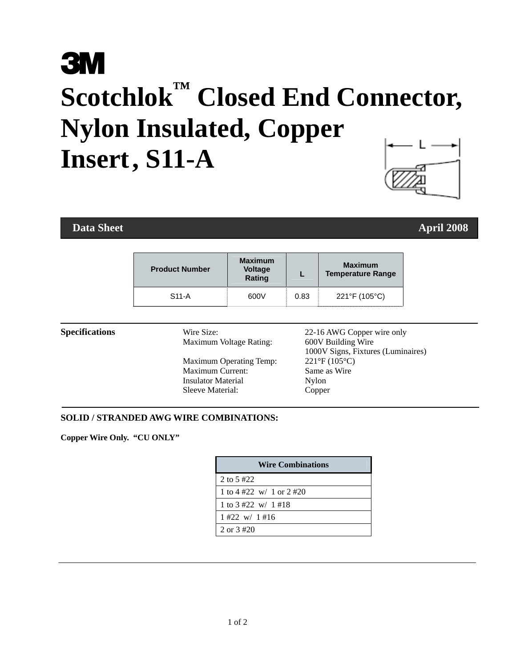# **3M Scotchlok™ Closed End Connector, Nylon Insulated, Copper Insert , S11-A**

### **Data Sheet** April 2008 **April 2008**

| <b>Product Number</b> | <b>Maximum</b><br><b>Voltage</b><br>Rating |      | <b>Maximum</b><br><b>Temperature Range</b> |
|-----------------------|--------------------------------------------|------|--------------------------------------------|
| $S11-A$               | 600V                                       | 0.83 | 221°F (105°C)                              |

 Maximum Voltage Rating: 600V Building Wire Maximum Operating Temp: 221°F (105°C) Maximum Current: Same as Wire<br>
Insulator Material<br>
Nylon **Insulator Material** Sleeve Material: Copper

**Specifications** Wire Size: 22-16 AWG Copper wire only 1000V Signs, Fixtures (Luminaires)

#### **SOLID / STRANDED AWG WIRE COMBINATIONS:**

**Copper Wire Only. "CU ONLY"** 

| <b>Wire Combinations</b> |  |  |
|--------------------------|--|--|
| 2 to 5 $#22$             |  |  |
| 1 to 4 #22 w/ 1 or 2 #20 |  |  |
| 1 to 3 #22 w/ 1 #18      |  |  |
| $1 \#22$ w/ $1 \#16$     |  |  |
| 2 or $3\#20$             |  |  |